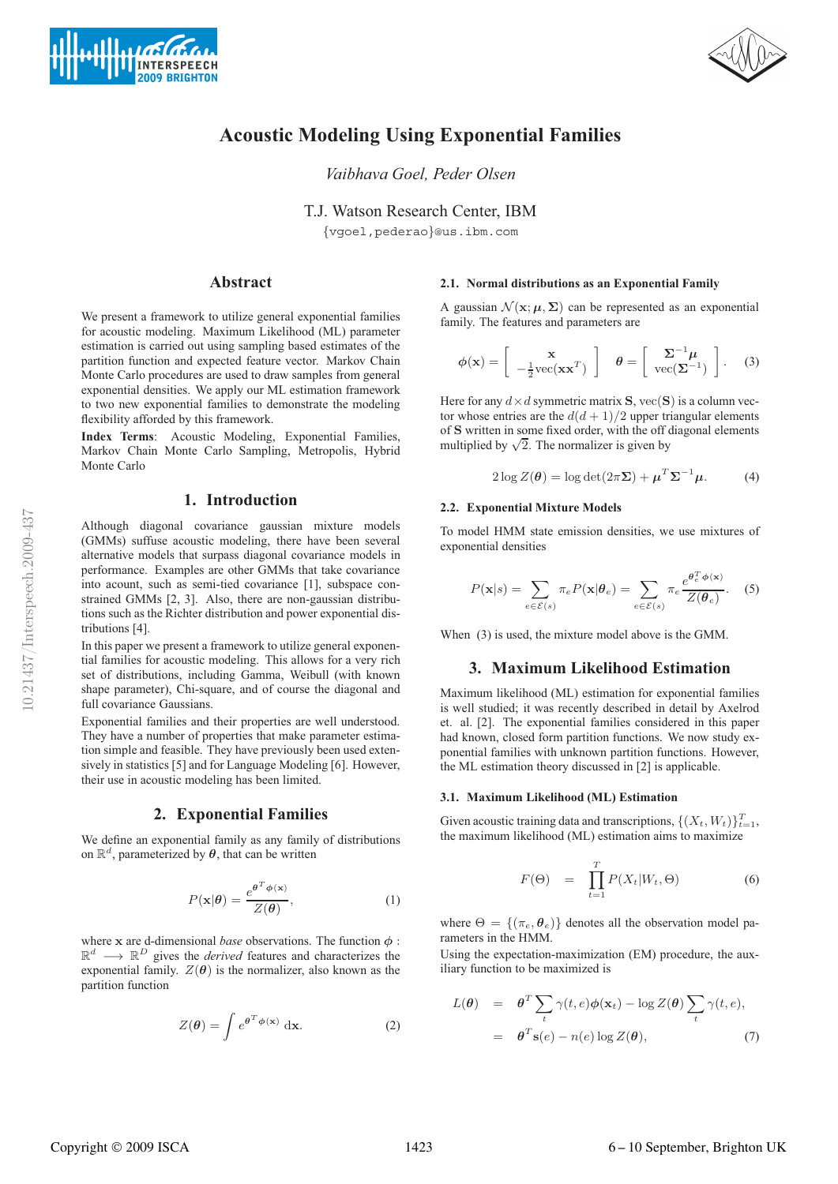



# **Acoustic Modeling Using Exponential Families**

*Vaibhava Goel, Peder Olsen*

T.J. Watson Research Center, IBM {vgoel,pederao}@us.ibm.com

# **Abstract**

We present a framework to utilize general exponential families for acoustic modeling. Maximum Likelihood (ML) parameter estimation is carried out using sampling based estimates of the partition function and expected feature vector. Markov Chain Monte Carlo procedures are used to draw samples from general exponential densities. We apply our ML estimation framework to two new exponential families to demonstrate the modeling flexibility afforded by this framework.

**Index Terms**: Acoustic Modeling, Exponential Families, Markov Chain Monte Carlo Sampling, Metropolis, Hybrid Monte Carlo

# **1. Introduction**

Although diagonal covariance gaussian mixture models (GMMs) suffuse acoustic modeling, there have been several alternative models that surpass diagonal covariance models in performance. Examples are other GMMs that take covariance into acount, such as semi-tied covariance [1], subspace constrained GMMs [2, 3]. Also, there are non-gaussian distributions such as the Richter distribution and power exponential distributions [4].

In this paper we present a framework to utilize general exponential families for acoustic modeling. This allows for a very rich set of distributions, including Gamma, Weibull (with known shape parameter), Chi-square, and of course the diagonal and full covariance Gaussians.

Exponential families and their properties are well understood. They have a number of properties that make parameter estimation simple and feasible. They have previously been used extensively in statistics [5] and for Language Modeling [6]. However, their use in acoustic modeling has been limited.

# **2. Exponential Families**

We define an exponential family as any family of distributions on  $\mathbb{R}^d$ , parameterized by  $\theta$ , that can be written

$$
P(\mathbf{x}|\boldsymbol{\theta}) = \frac{e^{\boldsymbol{\theta}^T \boldsymbol{\phi}(\mathbf{x})}}{Z(\boldsymbol{\theta})},\tag{1}
$$

where x are d-dimensional *base* observations. The function  $\phi$ :  $\mathbb{R}^d \longrightarrow \mathbb{R}^D$  gives the *derived* features and characterizes the exponential family.  $Z(\theta)$  is the normalizer, also known as the partition function

$$
Z(\boldsymbol{\theta}) = \int e^{\boldsymbol{\theta}^T \boldsymbol{\phi}(\mathbf{x})} \, \mathrm{d}\mathbf{x}.
$$
 (2)

## **2.1. Normal distributions as an Exponential Family**

A gaussian  $\mathcal{N}(\mathbf{x}; \mu, \Sigma)$  can be represented as an exponential family. The features and parameters are

$$
\phi(\mathbf{x}) = \begin{bmatrix} \mathbf{x} \\ -\frac{1}{2}\text{vec}(\mathbf{x}\mathbf{x}^T) \end{bmatrix} \quad \theta = \begin{bmatrix} \Sigma^{-1}\mu \\ \text{vec}(\Sigma^{-1}) \end{bmatrix}. \tag{3}
$$

Here for any  $d \times d$  symmetric matrix **S**,  $\text{vec}(\mathbf{S})$  is a column vector whose entries are the  $d(d+1)/2$  upper triangular elements of S written in some fixed order, with the off diagonal elements multiplied by  $\sqrt{2}$ . The normalizer is given by

$$
2\log Z(\boldsymbol{\theta}) = \log \det(2\pi \Sigma) + \boldsymbol{\mu}^T \boldsymbol{\Sigma}^{-1} \boldsymbol{\mu}.
$$
 (4)

#### **2.2. Exponential Mixture Models**

To model HMM state emission densities, we use mixtures of exponential densities

$$
P(\mathbf{x}|s) = \sum_{e \in \mathcal{E}(s)} \pi_e P(\mathbf{x}|\boldsymbol{\theta}_e) = \sum_{e \in \mathcal{E}(s)} \pi_e \frac{e^{\boldsymbol{\theta}_e^T \boldsymbol{\phi}(\mathbf{x})}}{Z(\boldsymbol{\theta}_e)}.
$$
 (5)

When (3) is used, the mixture model above is the GMM.

# **3. Maximum Likelihood Estimation**

Maximum likelihood (ML) estimation for exponential families is well studied; it was recently described in detail by Axelrod et. al. [2]. The exponential families considered in this paper had known, closed form partition functions. We now study exponential families with unknown partition functions. However, the ML estimation theory discussed in [2] is applicable.

#### **3.1. Maximum Likelihood (ML) Estimation**

Given acoustic training data and transcriptions,  $\{(X_t, W_t)\}_{t=1}^T$ , the maximum likelihood (ML) estimation aims to maximize

$$
F(\Theta) = \prod_{t=1}^{T} P(X_t|W_t, \Theta)
$$
 (6)

where  $\Theta = \{(\pi_e, \theta_e)\}\$  denotes all the observation model parameters in the HMM.

Using the expectation-maximization (EM) procedure, the auxiliary function to be maximized is

$$
L(\theta) = \theta^T \sum_t \gamma(t, e) \phi(\mathbf{x}_t) - \log Z(\theta) \sum_t \gamma(t, e),
$$
  
=  $\theta^T \mathbf{s}(e) - n(e) \log Z(\theta),$  (7)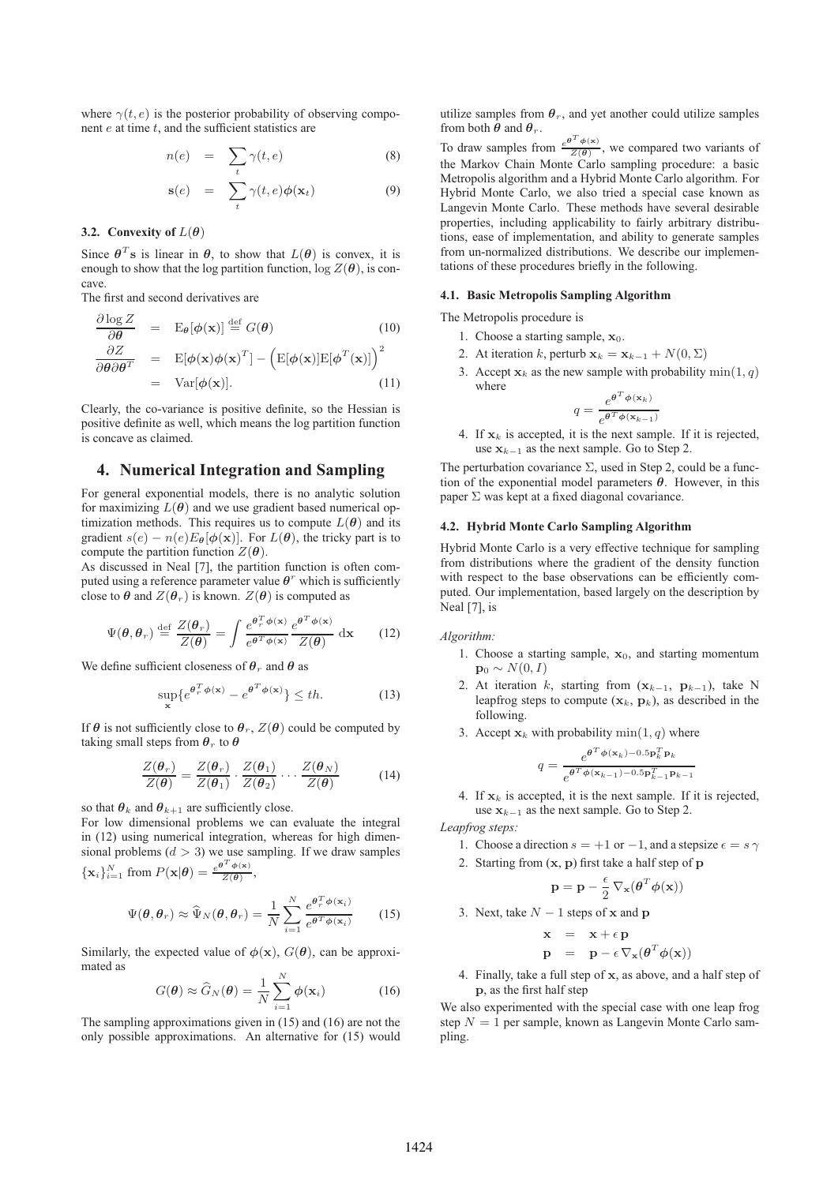where  $\gamma(t,e)$  is the posterior probability of observing component  $e$  at time  $t$ , and the sufficient statistics are

$$
n(e) = \sum_{t} \gamma(t, e) \tag{8}
$$

$$
\mathbf{s}(e) = \sum_{t} \gamma(t, e) \phi(\mathbf{x}_t) \tag{9}
$$

#### **3.2.** Convexity of  $L(\theta)$

Since  $\theta^T$ s is linear in  $\theta$ , to show that  $L(\theta)$  is convex, it is enough to show that the log partition function,  $\log Z(\theta)$ , is concave.

The first and second derivatives are

$$
\frac{\partial \log Z}{\partial \theta} = \mathbf{E}_{\theta}[\phi(\mathbf{x})] \stackrel{\text{def}}{=} G(\theta)
$$
(10)  

$$
\frac{\partial Z}{\partial \theta \partial \theta^{T}} = \mathbf{E}[\phi(\mathbf{x})\phi(\mathbf{x})^{T}] - (\mathbf{E}[\phi(\mathbf{x})]\mathbf{E}[\phi^{T}(\mathbf{x})])^{2}
$$
  

$$
= \text{Var}[\phi(\mathbf{x})].
$$
(11)

Clearly, the co-variance is positive definite, so the Hessian is positive definite as well, which means the log partition function is concave as claimed.

## **4. Numerical Integration and Sampling**

For general exponential models, there is no analytic solution for maximizing  $L(\theta)$  and we use gradient based numerical optimization methods. This requires us to compute  $L(\theta)$  and its gradient  $s(e) - n(e)E_{\theta}[\phi(\mathbf{x})]$ . For  $L(\theta)$ , the tricky part is to compute the partition function  $Z(\theta)$ .

As discussed in Neal [7], the partition function is often computed using a reference parameter value  $\theta^r$  which is sufficiently close to  $\theta$  and  $Z(\theta_r)$  is known.  $Z(\theta)$  is computed as

$$
\Psi(\theta,\theta_r) \stackrel{\text{def}}{=} \frac{Z(\theta_r)}{Z(\theta)} = \int \frac{e^{\theta_r^T \phi(\mathbf{x})}}{e^{\theta^T \phi(\mathbf{x})}} \frac{e^{\theta^T \phi(\mathbf{x})}}{Z(\theta)} \, \mathrm{d}\mathbf{x} \tag{12}
$$

We define sufficient closeness of  $\theta_r$  and  $\theta$  as

$$
\sup_{\mathbf{x}} \{ e^{\theta_T^T \phi(\mathbf{x})} - e^{\theta^T \phi(\mathbf{x})} \} \le th. \tag{13}
$$

If  $\theta$  is not sufficiently close to  $\theta_r$ ,  $Z(\theta)$  could be computed by taking small steps from  $\theta_r$  to  $\theta$ 

$$
\frac{Z(\theta_r)}{Z(\theta)} = \frac{Z(\theta_r)}{Z(\theta_1)} \cdot \frac{Z(\theta_1)}{Z(\theta_2)} \cdots \frac{Z(\theta_N)}{Z(\theta)} \tag{14}
$$

so that  $\theta_k$  and  $\theta_{k+1}$  are sufficiently close.

For low dimensional problems we can evaluate the integral in (12) using numerical integration, whereas for high dimensional problems  $(d > 3)$  we use sampling. If we draw samples  $\{\mathbf x_i\}_{i=1}^N$  from  $P(\mathbf x|\boldsymbol\theta) = \frac{e^{\boldsymbol\theta^T\boldsymbol\phi(\mathbf x)}}{Z(\boldsymbol\theta)},$ 

$$
\Psi(\theta,\theta_r) \approx \widehat{\Psi}_N(\theta,\theta_r) = \frac{1}{N} \sum_{i=1}^N \frac{e^{\theta_r^T \phi(\mathbf{x}_i)}}{e^{\theta^T \phi(\mathbf{x}_i)}} \qquad (15)
$$

Similarly, the expected value of  $\phi(\mathbf{x})$ ,  $G(\theta)$ , can be approximated as

$$
G(\boldsymbol{\theta}) \approx \widehat{G}_N(\boldsymbol{\theta}) = \frac{1}{N} \sum_{i=1}^N \phi(\mathbf{x}_i)
$$
 (16)

The sampling approximations given in (15) and (16) are not the only possible approximations. An alternative for (15) would utilize samples from  $\theta_r$ , and yet another could utilize samples from both  $\theta$  and  $\theta_r$ .

To draw samples from  $\frac{e^{\theta^T \phi(x)}}{Z(\theta)}$ , we compared two variants of the Markov Chain Monte Carlo sampling procedure: a basic Metropolis algorithm and a Hybrid Monte Carlo algorithm. For Hybrid Monte Carlo, we also tried a special case known as Langevin Monte Carlo. These methods have several desirable properties, including applicability to fairly arbitrary distributions, ease of implementation, and ability to generate samples from un-normalized distributions. We describe our implementations of these procedures briefly in the following.

#### **4.1. Basic Metropolis Sampling Algorithm**

The Metropolis procedure is

- 1. Choose a starting sample,  $x_0$ .
- 2. At iteration k, perturb  $\mathbf{x}_k = \mathbf{x}_{k-1} + N(0, \Sigma)$
- 3. Accept  $x_k$  as the new sample with probability  $\min(1, q)$ where

$$
q = \frac{e^{\theta^T \phi(\mathbf{x}_k)}}{e^{\theta^T \phi(\mathbf{x}_{k-1})}}
$$

4. If  $x_k$  is accepted, it is the next sample. If it is rejected, use  $x_{k-1}$  as the next sample. Go to Step 2.

The perturbation covariance  $\Sigma$ , used in Step 2, could be a function of the exponential model parameters  $\theta$ . However, in this paper  $\Sigma$  was kept at a fixed diagonal covariance.

# **4.2. Hybrid Monte Carlo Sampling Algorithm**

Hybrid Monte Carlo is a very effective technique for sampling from distributions where the gradient of the density function with respect to the base observations can be efficiently computed. Our implementation, based largely on the description by Neal [7], is

#### *Algorithm:*

- 1. Choose a starting sample,  $x_0$ , and starting momentum  $\mathbf{p}_0 \sim N(0, I)$
- 2. At iteration k, starting from  $(x_{k-1}, p_{k-1})$ , take N leapfrog steps to compute  $(x_k, p_k)$ , as described in the following.
- 3. Accept  $x_k$  with probability min $(1, q)$  where

$$
q = \frac{e^{\theta^T \phi(\mathbf{x}_k) - 0.5\mathbf{p}_k^T \mathbf{p}_k}}{e^{\theta^T \phi(\mathbf{x}_{k-1}) - 0.5\mathbf{p}_{k-1}^T \mathbf{p}_{k-1}}}
$$

4. If  $x_k$  is accepted, it is the next sample. If it is rejected, use  $x_{k-1}$  as the next sample. Go to Step 2.

*Leapfrog steps:*

- 1. Choose a direction  $s = +1$  or  $-1$ , and a stepsize  $\epsilon = s \gamma$
- 2. Starting from  $(x, p)$  first take a half step of  $p$

$$
\mathbf{p} = \mathbf{p} - \frac{\epsilon}{2} \, \nabla_{\mathbf{x}} (\boldsymbol{\theta}^T \boldsymbol{\phi}(\mathbf{x}))
$$

3. Next, take  $N - 1$  steps of x and p

$$
\begin{array}{rcl}\n\mathbf{x} & = & \mathbf{x} + \epsilon \, \mathbf{p} \\
\mathbf{p} & = & \mathbf{p} - \epsilon \, \nabla_{\mathbf{x}} (\boldsymbol{\theta}^T \boldsymbol{\phi}(\mathbf{x}))\n\end{array}
$$

4. Finally, take a full step of x, as above, and a half step of p, as the first half step

We also experimented with the special case with one leap frog step  $N = 1$  per sample, known as Langevin Monte Carlo sampling.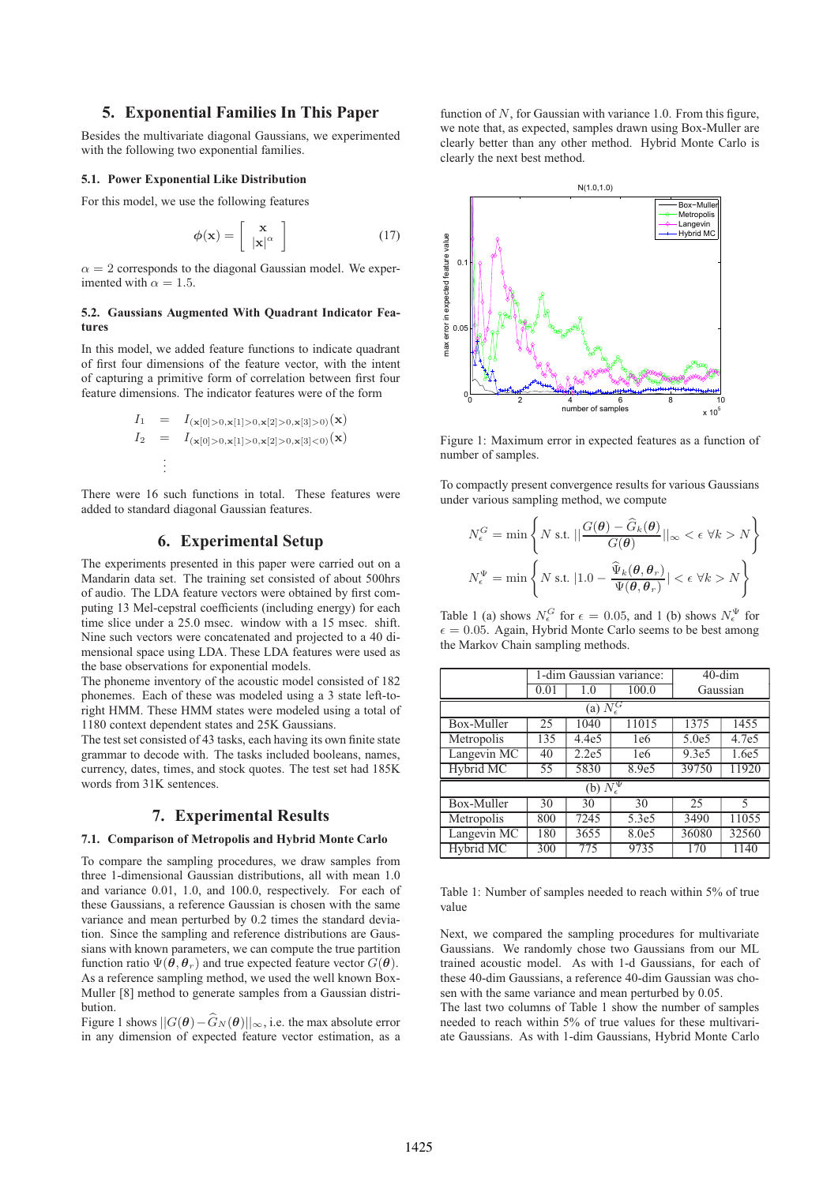# **5. Exponential Families In This Paper**

Besides the multivariate diagonal Gaussians, we experimented with the following two exponential families.

#### **5.1. Power Exponential Like Distribution**

For this model, we use the following features

$$
\phi(\mathbf{x}) = \left[ \begin{array}{c} \mathbf{x} \\ |\mathbf{x}|^{\alpha} \end{array} \right] \tag{17}
$$

 $\alpha = 2$  corresponds to the diagonal Gaussian model. We experimented with  $\alpha = 1.5$ .

#### **5.2. Gaussians Augmented With Quadrant Indicator Features**

In this model, we added feature functions to indicate quadrant of first four dimensions of the feature vector, with the intent of capturing a primitive form of correlation between first four feature dimensions. The indicator features were of the form

$$
I_1 = I_{(\mathbf{x}[0]>0,\mathbf{x}[1]>0,\mathbf{x}[2]>0,\mathbf{x}[3]>0)}(\mathbf{x})
$$
  
\n
$$
I_2 = I_{(\mathbf{x}[0]>0,\mathbf{x}[1]>0,\mathbf{x}[2]>0,\mathbf{x}[3]<0)}(\mathbf{x})
$$
  
\n
$$
\vdots
$$

There were 16 such functions in total. These features were added to standard diagonal Gaussian features.

# **6. Experimental Setup**

The experiments presented in this paper were carried out on a Mandarin data set. The training set consisted of about 500hrs of audio. The LDA feature vectors were obtained by first computing 13 Mel-cepstral coefficients (including energy) for each time slice under a 25.0 msec. window with a 15 msec. shift. Nine such vectors were concatenated and projected to a 40 dimensional space using LDA. These LDA features were used as the base observations for exponential models.

The phoneme inventory of the acoustic model consisted of 182 phonemes. Each of these was modeled using a 3 state left-toright HMM. These HMM states were modeled using a total of 1180 context dependent states and 25K Gaussians.

The test set consisted of 43 tasks, each having its own finite state grammar to decode with. The tasks included booleans, names, currency, dates, times, and stock quotes. The test set had 185K words from 31K sentences.

#### **7. Experimental Results**

#### **7.1. Comparison of Metropolis and Hybrid Monte Carlo**

To compare the sampling procedures, we draw samples from three 1-dimensional Gaussian distributions, all with mean 1.0 and variance 0.01, 1.0, and 100.0, respectively. For each of these Gaussians, a reference Gaussian is chosen with the same variance and mean perturbed by 0.2 times the standard deviation. Since the sampling and reference distributions are Gaussians with known parameters, we can compute the true partition function ratio  $\Psi(\theta, \theta_r)$  and true expected feature vector  $G(\theta)$ . As a reference sampling method, we used the well known Box-Muller [8] method to generate samples from a Gaussian distribution.

Figure 1 shows  $||G(\theta) - \widehat{G}_N(\theta)||_{\infty}$ , i.e. the max absolute error in any dimension of expected feature vector estimation, as a

function of  $N$ , for Gaussian with variance 1.0. From this figure, we note that, as expected, samples drawn using Box-Muller are clearly better than any other method. Hybrid Monte Carlo is clearly the next best method.



Figure 1: Maximum error in expected features as a function of number of samples.

To compactly present convergence results for various Gaussians under various sampling method, we compute

$$
N_{\epsilon}^{G} = \min \left\{ N \text{ s.t. } ||\frac{G(\theta) - \hat{G}_{k}(\theta)}{G(\theta)}||_{\infty} < \epsilon \ \forall k > N \right\}
$$

$$
N_{\epsilon}^{\Psi} = \min \left\{ N \text{ s.t. } |1.0 - \frac{\hat{\Psi}_{k}(\theta, \theta_{r})}{\Psi(\theta, \theta_{r})}| < \epsilon \ \forall k > N \right\}
$$

Table 1 (a) shows  $N_{\epsilon}^{G}$  for  $\epsilon = 0.05$ , and 1 (b) shows  $N_{\epsilon}^{\Psi}$  for  $\epsilon = 0.05$ . Again, Hybrid Monte Carlo seems to be best among the Markov Chain sampling methods.

|                                 |      | 1-dim Gaussian variance: | $40$ -dim |                   |       |  |  |  |  |  |
|---------------------------------|------|--------------------------|-----------|-------------------|-------|--|--|--|--|--|
|                                 | 0.01 | 1.0                      | 100.0     | Gaussian          |       |  |  |  |  |  |
| (a) $\overline{N_{\epsilon}^G}$ |      |                          |           |                   |       |  |  |  |  |  |
| Box-Muller                      | 25   | 1040                     | 11015     | 1375              | 1455  |  |  |  |  |  |
| Metropolis                      | 135  | 4.4e5                    | 1e6       | 5.0e5             | 4.7e5 |  |  |  |  |  |
| Langevin MC                     | 40   | 2.2e5                    | 1e6       | 9.3e <sub>5</sub> | 1.6e5 |  |  |  |  |  |
| Hybrid MC                       | 55   | 5830                     | 8.9e5     | 39750             | 11920 |  |  |  |  |  |
| (b) $N_{\epsilon}^{\Psi}$       |      |                          |           |                   |       |  |  |  |  |  |
| Box-Muller                      | 30   | 30                       | 30        | 25                | 5     |  |  |  |  |  |
| Metropolis                      | 800  | 7245                     | 5.3e5     | 3490              | 11055 |  |  |  |  |  |
| Langevin MC                     | 180  | 3655                     | 8.0e5     | 36080             | 32560 |  |  |  |  |  |
| Hybrid MC                       | 300  | 775                      | 9735      | 170               | 1140  |  |  |  |  |  |

Table 1: Number of samples needed to reach within 5% of true value

Next, we compared the sampling procedures for multivariate Gaussians. We randomly chose two Gaussians from our ML trained acoustic model. As with 1-d Gaussians, for each of these 40-dim Gaussians, a reference 40-dim Gaussian was chosen with the same variance and mean perturbed by 0.05.

The last two columns of Table 1 show the number of samples needed to reach within 5% of true values for these multivariate Gaussians. As with 1-dim Gaussians, Hybrid Monte Carlo